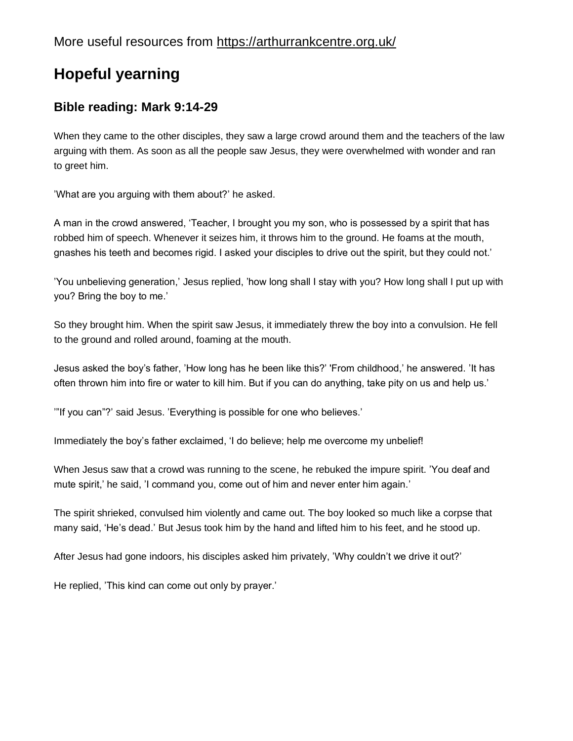# **Hopeful yearning**

## **Bible reading: Mark 9:14-29**

When they came to the other disciples, they saw a large crowd around them and the teachers of the law arguing with them. As soon as all the people saw Jesus, they were overwhelmed with wonder and ran to greet him.

'What are you arguing with them about?' he asked.

A man in the crowd answered, 'Teacher, I brought you my son, who is possessed by a spirit that has robbed him of speech. Whenever it seizes him, it throws him to the ground. He foams at the mouth, gnashes his teeth and becomes rigid. I asked your disciples to drive out the spirit, but they could not.'

'You unbelieving generation,' Jesus replied, 'how long shall I stay with you? How long shall I put up with you? Bring the boy to me.'

So they brought him. When the spirit saw Jesus, it immediately threw the boy into a convulsion. He fell to the ground and rolled around, foaming at the mouth.

Jesus asked the boy's father, 'How long has he been like this?' 'From childhood,' he answered. 'It has often thrown him into fire or water to kill him. But if you can do anything, take pity on us and help us.'

'"If you can"?' said Jesus. 'Everything is possible for one who believes.'

Immediately the boy's father exclaimed, 'I do believe; help me overcome my unbelief!

When Jesus saw that a crowd was running to the scene, he rebuked the impure spirit. 'You deaf and mute spirit,' he said, 'I command you, come out of him and never enter him again.'

The spirit shrieked, convulsed him violently and came out. The boy looked so much like a corpse that many said, 'He's dead.' But Jesus took him by the hand and lifted him to his feet, and he stood up.

After Jesus had gone indoors, his disciples asked him privately, 'Why couldn't we drive it out?'

He replied, 'This kind can come out only by prayer.'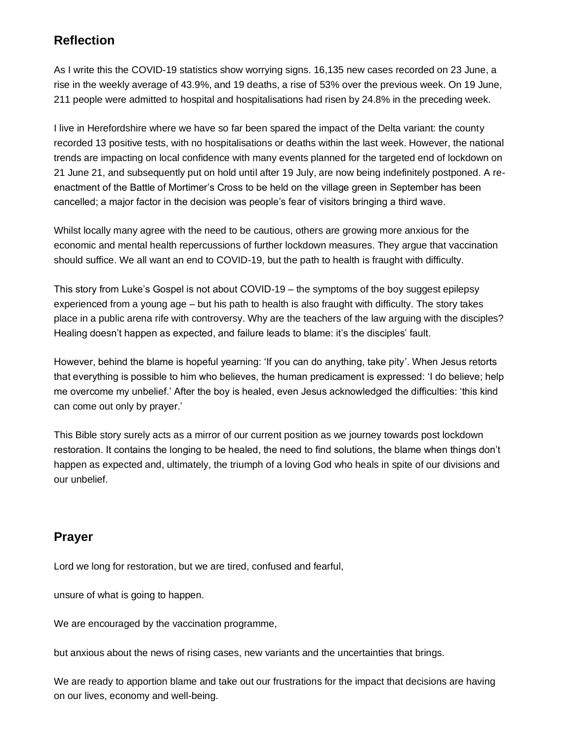## **Reflection**

As I write this the COVID-19 statistics show worrying signs. 16,135 new cases recorded on 23 June, a rise in the weekly average of 43.9%, and 19 deaths, a rise of 53% over the previous week. On 19 June, 211 people were admitted to hospital and hospitalisations had risen by 24.8% in the preceding week.

I live in Herefordshire where we have so far been spared the impact of the Delta variant: the county recorded 13 positive tests, with no hospitalisations or deaths within the last week. However, the national trends are impacting on local confidence with many events planned for the targeted end of lockdown on 21 June 21, and subsequently put on hold until after 19 July, are now being indefinitely postponed. A reenactment of the Battle of Mortimer's Cross to be held on the village green in September has been cancelled; a major factor in the decision was people's fear of visitors bringing a third wave.

Whilst locally many agree with the need to be cautious, others are growing more anxious for the economic and mental health repercussions of further lockdown measures. They argue that vaccination should suffice. We all want an end to COVID-19, but the path to health is fraught with difficulty.

This story from Luke's Gospel is not about COVID-19 – the symptoms of the boy suggest epilepsy experienced from a young age – but his path to health is also fraught with difficulty. The story takes place in a public arena rife with controversy. Why are the teachers of the law arguing with the disciples? Healing doesn't happen as expected, and failure leads to blame: it's the disciples' fault.

However, behind the blame is hopeful yearning: 'If you can do anything, take pity'. When Jesus retorts that everything is possible to him who believes, the human predicament is expressed: 'I do believe; help me overcome my unbelief.' After the boy is healed, even Jesus acknowledged the difficulties: 'this kind can come out only by prayer.'

This Bible story surely acts as a mirror of our current position as we journey towards post lockdown restoration. It contains the longing to be healed, the need to find solutions, the blame when things don't happen as expected and, ultimately, the triumph of a loving God who heals in spite of our divisions and our unbelief.

### **Prayer**

Lord we long for restoration, but we are tired, confused and fearful,

unsure of what is going to happen.

We are encouraged by the vaccination programme,

but anxious about the news of rising cases, new variants and the uncertainties that brings.

We are ready to apportion blame and take out our frustrations for the impact that decisions are having on our lives, economy and well-being.